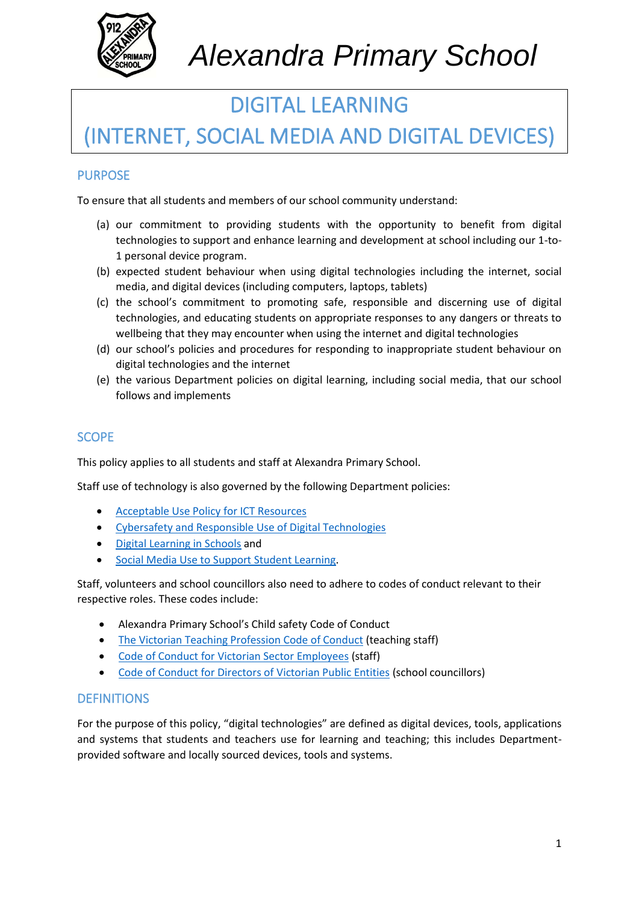

## DIGITAL LEARNING

## (INTERNET, SOCIAL MEDIA AND DIGITAL DEVICES)

#### PURPOSE

To ensure that all students and members of our school community understand:

- (a) our commitment to providing students with the opportunity to benefit from digital technologies to support and enhance learning and development at school including our 1-to-1 personal device program.
- (b) expected student behaviour when using digital technologies including the internet, social media, and digital devices (including computers, laptops, tablets)
- (c) the school's commitment to promoting safe, responsible and discerning use of digital technologies, and educating students on appropriate responses to any dangers or threats to wellbeing that they may encounter when using the internet and digital technologies
- (d) our school's policies and procedures for responding to inappropriate student behaviour on digital technologies and the internet
- (e) the various Department policies on digital learning, including social media, that our school follows and implements

### **SCOPE**

This policy applies to all students and staff at Alexandra Primary School.

Staff use of technology is also governed by the following Department policies:

- [Acceptable Use Policy](https://www2.education.vic.gov.au/pal/ict-acceptable-use/overview) for ICT Resources
- [Cybersafety and Responsible Use of Digital Technologies](https://www2.education.vic.gov.au/pal/cybersafety/policy)
- [Digital Learning in Schools](https://www2.education.vic.gov.au/pal/digital-learning/policy) and
- [Social Media Use to Support Student Learning.](https://www2.education.vic.gov.au/pal/social-media/policy)

Staff, volunteers and school councillors also need to adhere to codes of conduct relevant to their respective roles. These codes include:

- Alexandra Primary School's Child safety Code of Conduct
- [The Victorian Teaching Profession Code of Conduct](https://www.vit.vic.edu.au/__data/assets/pdf_file/0018/35604/Code-of-Conduct-2016.pdf) (teaching staff)
- [Code of Conduct for Victorian Sector Employees](https://www2.education.vic.gov.au/pal/code-conduct/overview) (staff)
- [Code of Conduct for Directors of Victorian Public Entities](https://www2.education.vic.gov.au/pal/school-council-conduct/policy) (school councillors)

#### **DEFINITIONS**

For the purpose of this policy, "digital technologies" are defined as digital devices, tools, applications and systems that students and teachers use for learning and teaching; this includes Departmentprovided software and locally sourced devices, tools and systems.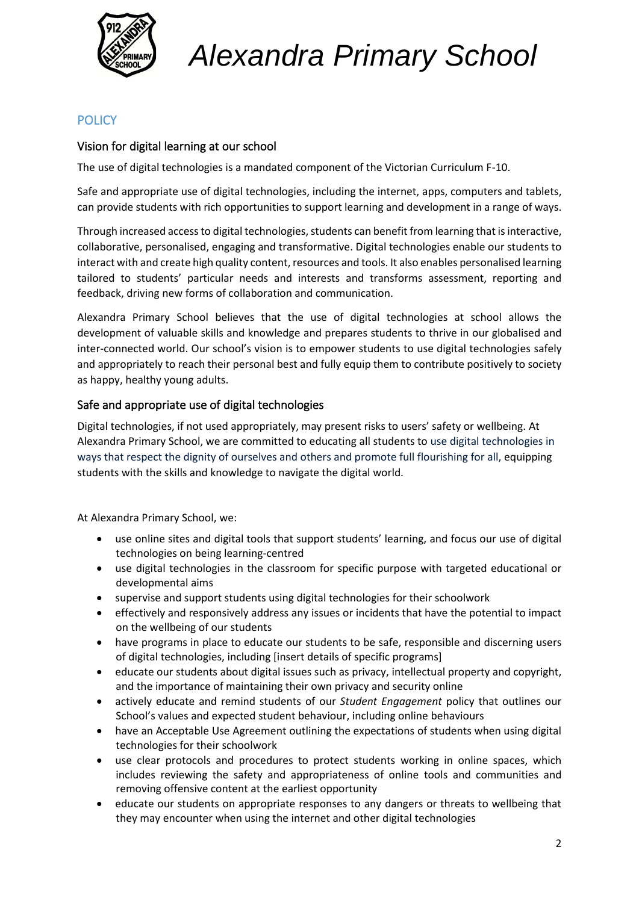

### **POLICY**

#### Vision for digital learning at our school

The use of digital technologies is a mandated component of the Victorian Curriculum F-10.

Safe and appropriate use of digital technologies, including the internet, apps, computers and tablets, can provide students with rich opportunities to support learning and development in a range of ways.

Through increased access to digital technologies, students can benefit from learning that is interactive, collaborative, personalised, engaging and transformative. Digital technologies enable our students to interact with and create high quality content, resources and tools. It also enables personalised learning tailored to students' particular needs and interests and transforms assessment, reporting and feedback, driving new forms of collaboration and communication.

Alexandra Primary School believes that the use of digital technologies at school allows the development of valuable skills and knowledge and prepares students to thrive in our globalised and inter-connected world. Our school's vision is to empower students to use digital technologies safely and appropriately to reach their personal best and fully equip them to contribute positively to society as happy, healthy young adults.

#### Safe and appropriate use of digital technologies

Digital technologies, if not used appropriately, may present risks to users' safety or wellbeing. At Alexandra Primary School, we are committed to educating all students to use digital technologies in ways that respect the dignity of ourselves and others and promote full flourishing for all, equipping students with the skills and knowledge to navigate the digital world.

At Alexandra Primary School, we:

- use online sites and digital tools that support students' learning, and focus our use of digital technologies on being learning-centred
- use digital technologies in the classroom for specific purpose with targeted educational or developmental aims
- supervise and support students using digital technologies for their schoolwork
- effectively and responsively address any issues or incidents that have the potential to impact on the wellbeing of our students
- have programs in place to educate our students to be safe, responsible and discerning users of digital technologies, including [insert details of specific programs]
- educate our students about digital issues such as privacy, intellectual property and copyright, and the importance of maintaining their own privacy and security online
- actively educate and remind students of our *Student Engagement* policy that outlines our School's values and expected student behaviour, including online behaviours
- have an Acceptable Use Agreement outlining the expectations of students when using digital technologies for their schoolwork
- use clear protocols and procedures to protect students working in online spaces, which includes reviewing the safety and appropriateness of online tools and communities and removing offensive content at the earliest opportunity
- educate our students on appropriate responses to any dangers or threats to wellbeing that they may encounter when using the internet and other digital technologies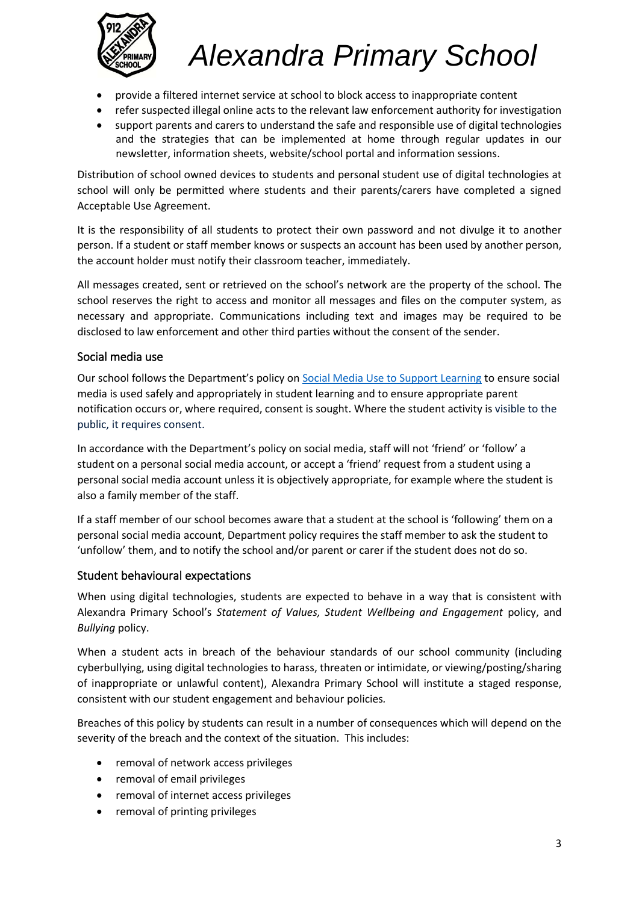

- provide a filtered internet service at school to block access to inappropriate content
- refer suspected illegal online acts to the relevant law enforcement authority for investigation
- support parents and carers to understand the safe and responsible use of digital technologies and the strategies that can be implemented at home through regular updates in our newsletter, information sheets, website/school portal and information sessions.

Distribution of school owned devices to students and personal student use of digital technologies at school will only be permitted where students and their parents/carers have completed a signed Acceptable Use Agreement.

It is the responsibility of all students to protect their own password and not divulge it to another person. If a student or staff member knows or suspects an account has been used by another person, the account holder must notify their classroom teacher, immediately.

All messages created, sent or retrieved on the school's network are the property of the school. The school reserves the right to access and monitor all messages and files on the computer system, as necessary and appropriate. Communications including text and images may be required to be disclosed to law enforcement and other third parties without the consent of the sender.

#### Social media use

Our school follows the Department's policy on [Social Media Use to Support Learning](https://www2.education.vic.gov.au/pal/social-media/policy) to ensure social media is used safely and appropriately in student learning and to ensure appropriate parent notification occurs or, where required, consent is sought. Where the student activity is visible to the public, it requires consent.

In accordance with the Department's policy on social media, staff will not 'friend' or 'follow' a student on a personal social media account, or accept a 'friend' request from a student using a personal social media account unless it is objectively appropriate, for example where the student is also a family member of the staff.

If a staff member of our school becomes aware that a student at the school is 'following' them on a personal social media account, Department policy requires the staff member to ask the student to 'unfollow' them, and to notify the school and/or parent or carer if the student does not do so.

#### Student behavioural expectations

When using digital technologies, students are expected to behave in a way that is consistent with Alexandra Primary School's *Statement of Values, Student Wellbeing and Engagement* policy, and *Bullying* policy.

When a student acts in breach of the behaviour standards of our school community (including cyberbullying, using digital technologies to harass, threaten or intimidate, or viewing/posting/sharing of inappropriate or unlawful content), Alexandra Primary School will institute a staged response, consistent with our student engagement and behaviour policies*.*

Breaches of this policy by students can result in a number of consequences which will depend on the severity of the breach and the context of the situation. This includes:

- removal of network access privileges
- removal of email privileges
- removal of internet access privileges
- removal of printing privileges